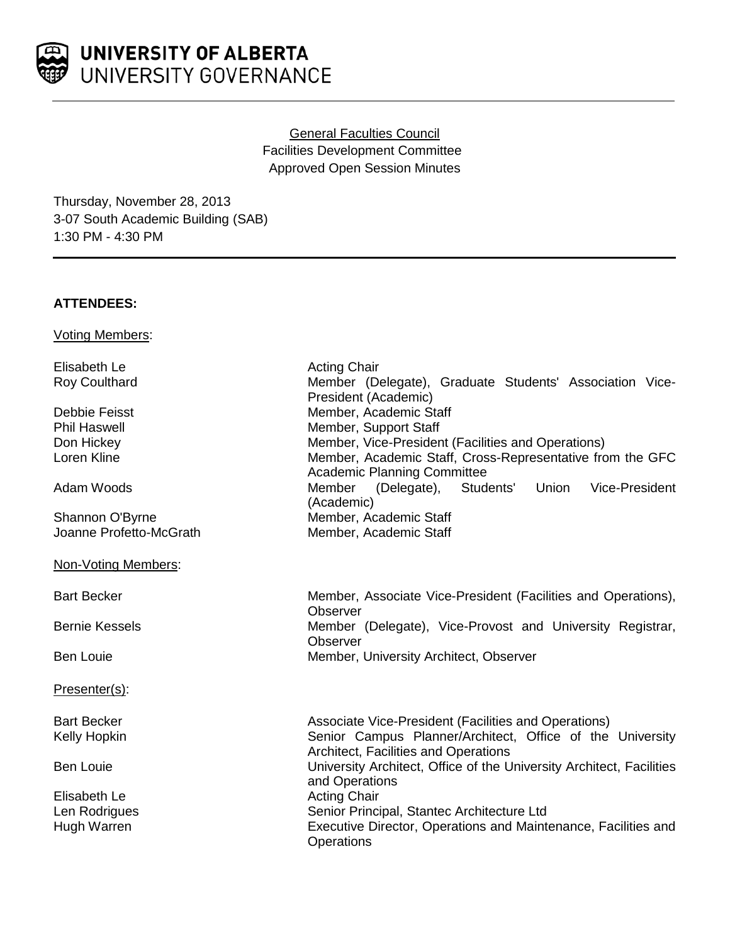# UNIVERSITY OF ALBERTA UNIVERSITY GOVERNANCE

# General Faculties Council Facilities Development Committee Approved Open Session Minutes

Thursday, November 28, 2013 3-07 South Academic Building (SAB) 1:30 PM - 4:30 PM

# **ATTENDEES:**

Voting Members:

Elisabeth Le **Acting Chair**<br>
Roy Coulthard **Acting Chair**<br>
Member (De

Shannon O'Byrne Member, Academic Staff Joanne Profetto-McGrath Member, Academic Staff

Non-Voting Members:

Presenter(s):

Elisabeth Le **Acting Chair** Acting Chair

Member (Delegate), Graduate Students' Association Vice-President (Academic) Debbie Feisst **Member, Academic Staff**<br>
Phil Haswell **Member, Support Staff** Member, Support Staff Don Hickey **Member, Vice-President (Facilities and Operations)** Member, Vice-President (Facilities and Operations) Loren Kline Member, Academic Staff, Cross-Representative from the GFC Academic Planning Committee Adam Woods **Mullet Communist Communist Communist Communist Communist Communist Communist Communist Communist Co** (Academic)

Bart Becker **Member, Associate Vice-President (Facilities and Operations)**, **Observer** Bernie Kessels **Member** (Delegate), Vice-Provost and University Registrar, **Observer** Ben Louie **Member, University Architect, Observer** Member, University Architect, Observer

Bart Becker **Associate Vice-President (Facilities and Operations)** Associate Vice-President (Facilities and Operations) Kelly Hopkin Senior Campus Planner/Architect, Office of the University Architect, Facilities and Operations Ben Louie **Example 20 Initially University Architect, Office of the University Architect, Facilities** and Operations Len Rodrigues The Senior Principal, Stantec Architecture Ltd Hugh Warren Executive Director, Operations and Maintenance, Facilities and **Operations**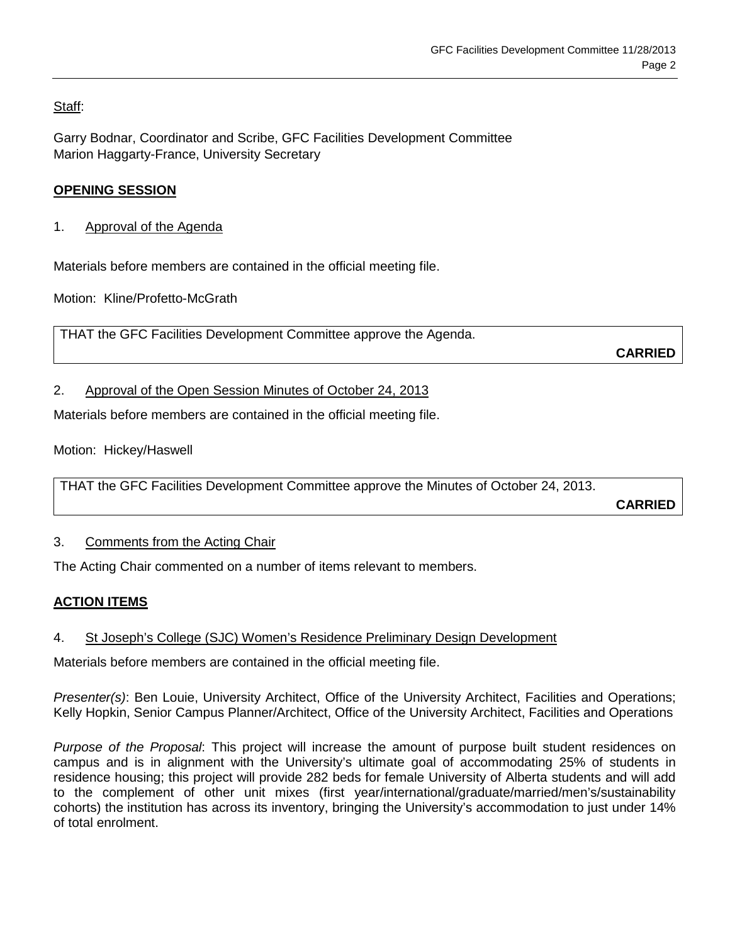Staff:

Garry Bodnar, Coordinator and Scribe, GFC Facilities Development Committee Marion Haggarty-France, University Secretary

# **OPENING SESSION**

1. Approval of the Agenda

Materials before members are contained in the official meeting file.

Motion: Kline/Profetto-McGrath

THAT the GFC Facilities Development Committee approve the Agenda.

**CARRIED**

#### 2. Approval of the Open Session Minutes of October 24, 2013

Materials before members are contained in the official meeting file.

Motion: Hickey/Haswell

THAT the GFC Facilities Development Committee approve the Minutes of October 24, 2013.

**CARRIED**

#### 3. Comments from the Acting Chair

The Acting Chair commented on a number of items relevant to members.

# **ACTION ITEMS**

# 4. St Joseph's College (SJC) Women's Residence Preliminary Design Development

Materials before members are contained in the official meeting file.

*Presenter(s)*: Ben Louie, University Architect, Office of the University Architect, Facilities and Operations; Kelly Hopkin, Senior Campus Planner/Architect, Office of the University Architect, Facilities and Operations

*Purpose of the Proposal*: This project will increase the amount of purpose built student residences on campus and is in alignment with the University's ultimate goal of accommodating 25% of students in residence housing; this project will provide 282 beds for female University of Alberta students and will add to the complement of other unit mixes (first year/international/graduate/married/men's/sustainability cohorts) the institution has across its inventory, bringing the University's accommodation to just under 14% of total enrolment.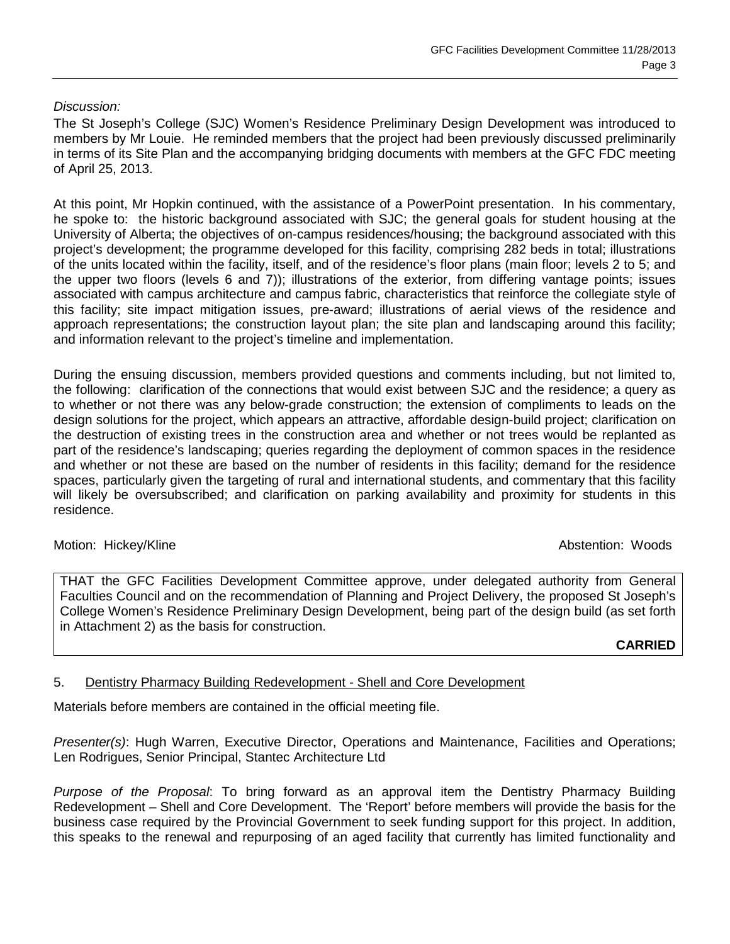### *Discussion:*

The St Joseph's College (SJC) Women's Residence Preliminary Design Development was introduced to members by Mr Louie. He reminded members that the project had been previously discussed preliminarily in terms of its Site Plan and the accompanying bridging documents with members at the GFC FDC meeting of April 25, 2013.

At this point, Mr Hopkin continued, with the assistance of a PowerPoint presentation. In his commentary, he spoke to: the historic background associated with SJC; the general goals for student housing at the University of Alberta; the objectives of on-campus residences/housing; the background associated with this project's development; the programme developed for this facility, comprising 282 beds in total; illustrations of the units located within the facility, itself, and of the residence's floor plans (main floor; levels 2 to 5; and the upper two floors (levels 6 and 7)); illustrations of the exterior, from differing vantage points; issues associated with campus architecture and campus fabric, characteristics that reinforce the collegiate style of this facility; site impact mitigation issues, pre-award; illustrations of aerial views of the residence and approach representations; the construction layout plan; the site plan and landscaping around this facility; and information relevant to the project's timeline and implementation.

During the ensuing discussion, members provided questions and comments including, but not limited to, the following: clarification of the connections that would exist between SJC and the residence; a query as to whether or not there was any below-grade construction; the extension of compliments to leads on the design solutions for the project, which appears an attractive, affordable design-build project; clarification on the destruction of existing trees in the construction area and whether or not trees would be replanted as part of the residence's landscaping; queries regarding the deployment of common spaces in the residence and whether or not these are based on the number of residents in this facility; demand for the residence spaces, particularly given the targeting of rural and international students, and commentary that this facility will likely be oversubscribed; and clarification on parking availability and proximity for students in this residence.

Motion: Hickey/Kline Abstention: Woods

THAT the GFC Facilities Development Committee approve, under delegated authority from General Faculties Council and on the recommendation of Planning and Project Delivery, the proposed St Joseph's College Women's Residence Preliminary Design Development, being part of the design build (as set forth in Attachment 2) as the basis for construction.

#### **CARRIED**

# 5. Dentistry Pharmacy Building Redevelopment - Shell and Core Development

Materials before members are contained in the official meeting file.

*Presenter(s)*: Hugh Warren, Executive Director, Operations and Maintenance, Facilities and Operations; Len Rodrigues, Senior Principal, Stantec Architecture Ltd

*Purpose of the Proposal*: To bring forward as an approval item the Dentistry Pharmacy Building Redevelopment – Shell and Core Development. The 'Report' before members will provide the basis for the business case required by the Provincial Government to seek funding support for this project. In addition, this speaks to the renewal and repurposing of an aged facility that currently has limited functionality and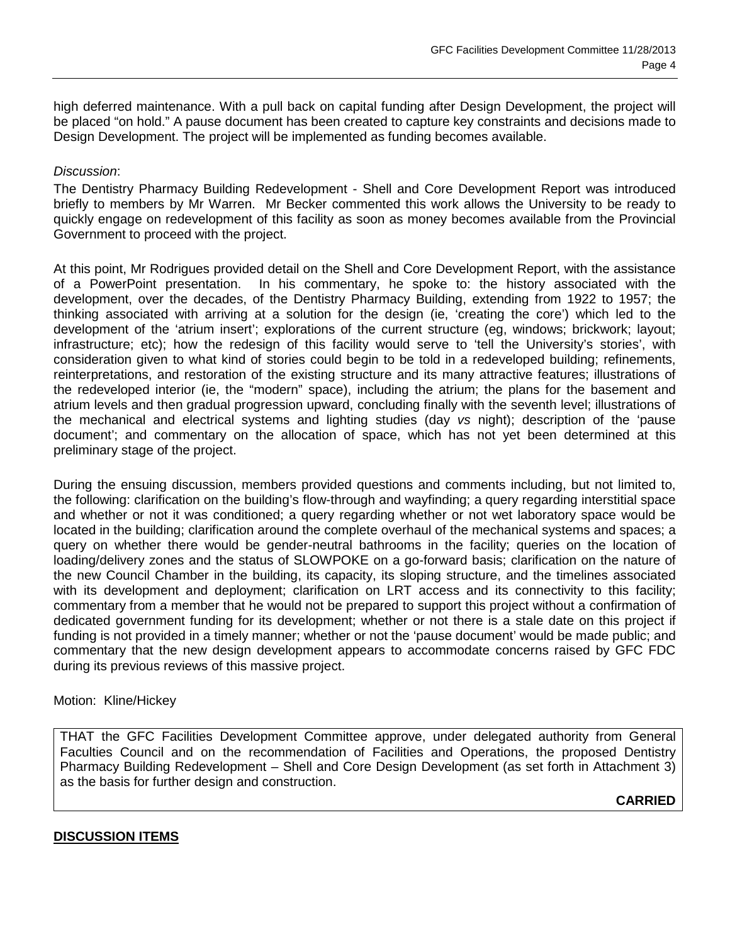high deferred maintenance. With a pull back on capital funding after Design Development, the project will be placed "on hold." A pause document has been created to capture key constraints and decisions made to Design Development. The project will be implemented as funding becomes available.

#### *Discussion*:

The Dentistry Pharmacy Building Redevelopment - Shell and Core Development Report was introduced briefly to members by Mr Warren. Mr Becker commented this work allows the University to be ready to quickly engage on redevelopment of this facility as soon as money becomes available from the Provincial Government to proceed with the project.

At this point, Mr Rodrigues provided detail on the Shell and Core Development Report, with the assistance of a PowerPoint presentation. In his commentary, he spoke to: the history associated with the development, over the decades, of the Dentistry Pharmacy Building, extending from 1922 to 1957; the thinking associated with arriving at a solution for the design (ie, 'creating the core') which led to the development of the 'atrium insert'; explorations of the current structure (eg, windows; brickwork; layout; infrastructure; etc); how the redesign of this facility would serve to 'tell the University's stories', with consideration given to what kind of stories could begin to be told in a redeveloped building; refinements, reinterpretations, and restoration of the existing structure and its many attractive features; illustrations of the redeveloped interior (ie, the "modern" space), including the atrium; the plans for the basement and atrium levels and then gradual progression upward, concluding finally with the seventh level; illustrations of the mechanical and electrical systems and lighting studies (day *vs* night); description of the 'pause document'; and commentary on the allocation of space, which has not yet been determined at this preliminary stage of the project.

During the ensuing discussion, members provided questions and comments including, but not limited to, the following: clarification on the building's flow-through and wayfinding; a query regarding interstitial space and whether or not it was conditioned; a query regarding whether or not wet laboratory space would be located in the building; clarification around the complete overhaul of the mechanical systems and spaces; a query on whether there would be gender-neutral bathrooms in the facility; queries on the location of loading/delivery zones and the status of SLOWPOKE on a go-forward basis; clarification on the nature of the new Council Chamber in the building, its capacity, its sloping structure, and the timelines associated with its development and deployment; clarification on LRT access and its connectivity to this facility; commentary from a member that he would not be prepared to support this project without a confirmation of dedicated government funding for its development; whether or not there is a stale date on this project if funding is not provided in a timely manner; whether or not the 'pause document' would be made public; and commentary that the new design development appears to accommodate concerns raised by GFC FDC during its previous reviews of this massive project.

#### Motion: Kline/Hickey

THAT the GFC Facilities Development Committee approve, under delegated authority from General Faculties Council and on the recommendation of Facilities and Operations, the proposed Dentistry Pharmacy Building Redevelopment – Shell and Core Design Development (as set forth in Attachment 3) as the basis for further design and construction.

# **CARRIED**

#### **DISCUSSION ITEMS**